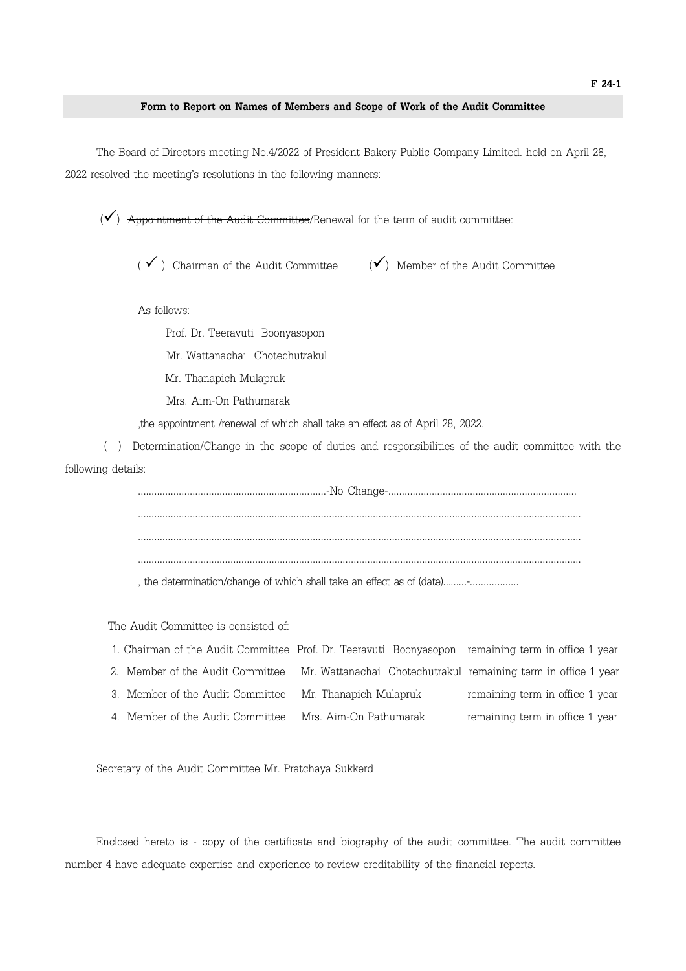## Form to Report on Names of Members and Scope of Work of the Audit Committee

 The Board of Directors meeting No.4/2022 of President Bakery Public Company Limited. held on April 28, 2022 resolved the meeting's resolutions in the following manners:

 $(\checkmark)$  Appointment of the Audit Committee/Renewal for the term of audit committee:

( $\checkmark$ ) Chairman of the Audit Committee ( $\checkmark$ ) Member of the Audit Committee

As follows:

 Prof. Dr. Teeravuti Boonyasopon Mr. Wattanachai Chotechutrakul Mr. Thanapich Mulapruk Mrs. Aim-On Pathumarak

,the appointment /renewal of which shall take an effect as of April 28, 2022.

 ( ) Determination/Change in the scope of duties and responsibilities of the audit committee with the following details:

> ……………………………………………………………-No Change-…………………………………………………………… ……………………………………………………………………………………………………………………………………………… ……………………………………………………………………………………………………………………………………………… ………………………………………………………………………………………………………………………………………………

, the determination/change of which shall take an effect as of (date)………-………………

The Audit Committee is consisted of:

| 1. Chairman of the Audit Committee Prof. Dr. Teeravuti Boonyasopon remaining term in office 1 year |                                                                |                                 |
|----------------------------------------------------------------------------------------------------|----------------------------------------------------------------|---------------------------------|
| 2. Member of the Audit Committee                                                                   | Mr. Wattanachai Chotechutrakul remaining term in office 1 year |                                 |
| 3. Member of the Audit Committee                                                                   | Mr. Thanapich Mulapruk                                         | remaining term in office 1 year |

4. Member of the Audit Committee Mrs. Aim-On Pathumarak remaining term in office 1 year

Secretary of the Audit Committee Mr. Pratchaya Sukkerd

 Enclosed hereto is - copy of the certificate and biography of the audit committee. The audit committee number 4 have adequate expertise and experience to review creditability of the financial reports.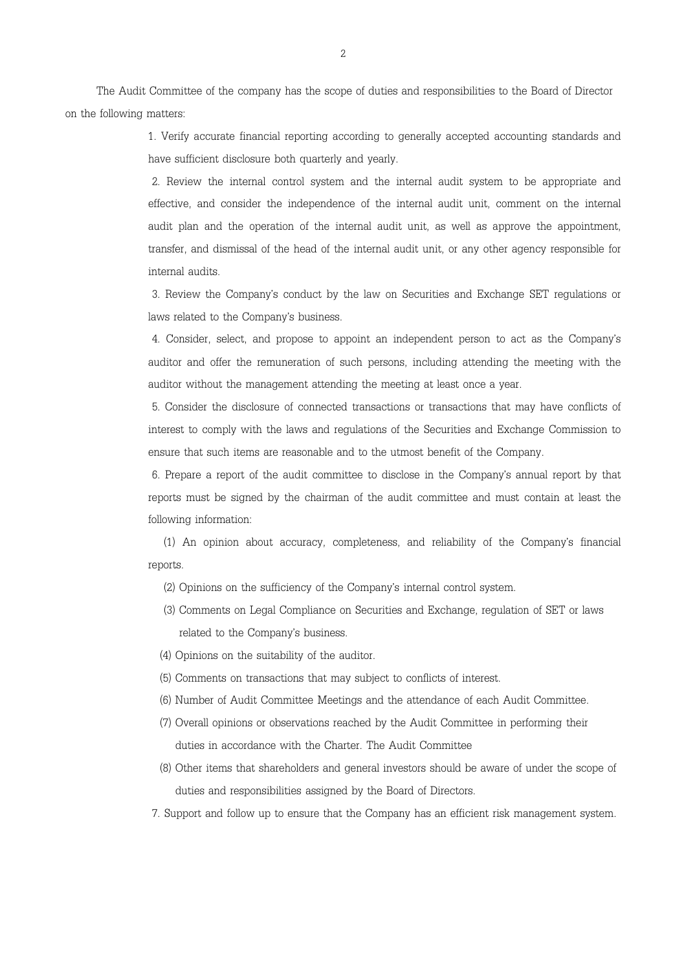The Audit Committee of the company has the scope of duties and responsibilities to the Board of Director on the following matters:

> 1. Verify accurate financial reporting according to generally accepted accounting standards and have sufficient disclosure both quarterly and yearly.

> 2. Review the internal control system and the internal audit system to be appropriate and effective, and consider the independence of the internal audit unit, comment on the internal audit plan and the operation of the internal audit unit, as well as approve the appointment, transfer, and dismissal of the head of the internal audit unit, or any other agency responsible for internal audits.

> 3. Review the Company's conduct by the law on Securities and Exchange SET regulations or laws related to the Company's business.

> 4. Consider, select, and propose to appoint an independent person to act as the Company's auditor and offer the remuneration of such persons, including attending the meeting with the auditor without the management attending the meeting at least once a year.

> 5. Consider the disclosure of connected transactions or transactions that may have conflicts of interest to comply with the laws and regulations of the Securities and Exchange Commission to ensure that such items are reasonable and to the utmost benefit of the Company.

> 6. Prepare a report of the audit committee to disclose in the Company's annual report by that reports must be signed by the chairman of the audit committee and must contain at least the following information:

> (1) An opinion about accuracy, completeness, and reliability of the Company's financial reports.

- (2) Opinions on the sufficiency of the Company's internal control system.
- (3) Comments on Legal Compliance on Securities and Exchange, regulation of SET or laws related to the Company's business.
- (4) Opinions on the suitability of the auditor.
- (5) Comments on transactions that may subject to conflicts of interest.
- (6) Number of Audit Committee Meetings and the attendance of each Audit Committee.
- (7) Overall opinions or observations reached by the Audit Committee in performing their duties in accordance with the Charter. The Audit Committee
- (8) Other items that shareholders and general investors should be aware of under the scope of duties and responsibilities assigned by the Board of Directors.
- 7. Support and follow up to ensure that the Company has an efficient risk management system.